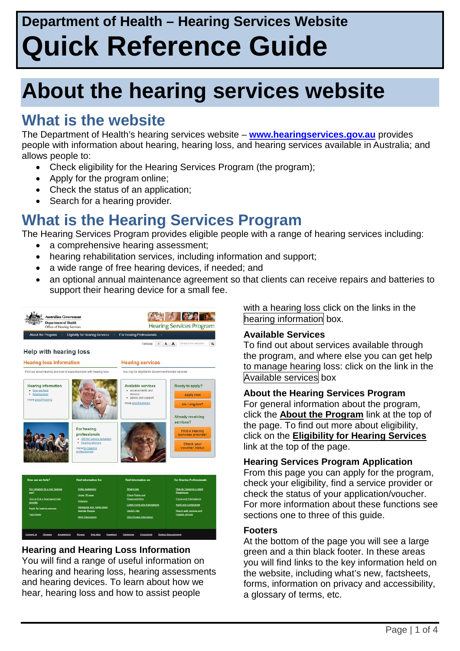# **About the hearing services website**

### **What is the website**

The Department of Health's hearing services website – **[www.hearingservices.gov.au](http://www.hearingservices.gov.au/)** provides people with information about hearing, hearing loss, and hearing services available in Australia; and allows people to:

- Check eligibility for the Hearing Services Program (the program);
- Apply for the program online;
- Check the status of an application;
- Search for a hearing provider.

### **What is the Hearing Services Program**

The Hearing Services Program provides eligible people with a range of hearing services including:

- a comprehensive hearing assessment;
- hearing rehabilitation services, including information and support;
- a wide range of free hearing devices, if needed; and
- an optional annual maintenance agreement so that clients can receive repairs and batteries to support their hearing device for a small fee.



#### **Hearing and Hearing Loss Information**

You will find a range of useful information on hearing and hearing loss, hearing assessments and hearing devices. To learn about how we hear, hearing loss and how to assist people

with a hearing loss click on the links in the hearing information box.

#### **Available Services**

To find out about services available through the program, and where else you can get help to manage hearing loss: click on the link in the Available services box

#### **About the Hearing Services Program**

For general information about the program, click the **About the Program** link at the top of the page. To find out more about eligibility, click on the **Eligibility for Hearing Services** link at the top of the page.

#### **Hearing Services Program Application**

From this page you can apply for the program, check your eligibility, find a service provider or check the status of your application/voucher. For more information about these functions see sections one to three of this guide.

#### **Footers**

At the bottom of the page you will see a large green and a thin black footer. In these areas you will find links to the key information held on the website, including what's new, factsheets, forms, information on privacy and accessibility, a glossary of terms, etc.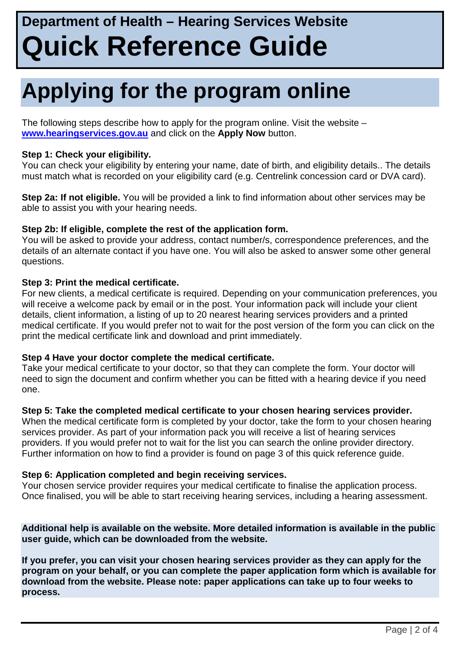# **Applying for the program online**

The following steps describe how to apply for the program online. Visit the website – **[www.hearingservices.gov.au](http://www.hearingservices.gov.au/)** and click on the **Apply Now** button.

#### **Step 1: Check your eligibility.**

You can check your eligibility by entering your name, date of birth, and eligibility details.. The details must match what is recorded on your eligibility card (e.g. Centrelink concession card or DVA card).

**Step 2a: If not eligible.** You will be provided a link to find information about other services may be able to assist you with your hearing needs.

#### **Step 2b: If eligible, complete the rest of the application form.**

You will be asked to provide your address, contact number/s, correspondence preferences, and the details of an alternate contact if you have one. You will also be asked to answer some other general questions.

#### **Step 3: Print the medical certificate.**

For new clients, a medical certificate is required. Depending on your communication preferences, you will receive a welcome pack by email or in the post. Your information pack will include your client details, client information, a listing of up to 20 nearest hearing services providers and a printed medical certificate. If you would prefer not to wait for the post version of the form you can click on the print the medical certificate link and download and print immediately.

#### **Step 4 Have your doctor complete the medical certificate.**

Take your medical certificate to your doctor, so that they can complete the form. Your doctor will need to sign the document and confirm whether you can be fitted with a hearing device if you need one.

#### **Step 5: Take the completed medical certificate to your chosen hearing services provider.**

When the medical certificate form is completed by your doctor, take the form to your chosen hearing services provider. As part of your information pack you will receive a list of hearing services providers. If you would prefer not to wait for the list you can search the online provider directory. Further information on how to find a provider is found on page 3 of this quick reference guide.

#### **Step 6: Application completed and begin receiving services.**

Your chosen service provider requires your medical certificate to finalise the application process. Once finalised, you will be able to start receiving hearing services, including a hearing assessment.

**Additional help is available on the website. More detailed information is available in the public user guide, which can be downloaded from the website.** 

**If you prefer, you can visit your chosen hearing services provider as they can apply for the program on your behalf, or you can complete the paper application form which is available for download from the website. Please note: paper applications can take up to four weeks to process.**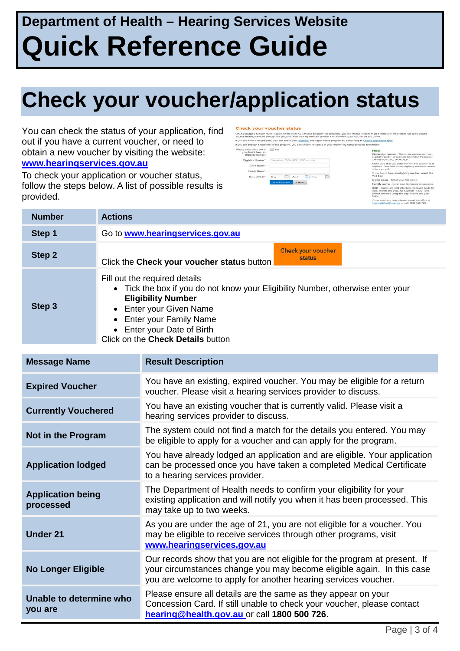# **Check your voucher/application status**

You can check the status of your application, find out if you have a current voucher, or need to obtain a new voucher by visiting the website: **[www.hearingservices.gov.au](http://www.hearingservices.gov.au/)**

To check your application or voucher status, follow the steps below. A list of possible results is provided.

#### Check your voucher status

.<br>Shoe you apply and are found eligible for the Hearing Denices program (the program), you will receive a voucher (in a let<br>access hearing services through the program. Your hearing services provider can also view your vou If you are already a customer of the program, you can check the status of your youcher by completi if you a<br>Please

| coloct this box if<br>ne ment ton ob uo<br>aligibility number | Yoo                                   |      |
|---------------------------------------------------------------|---------------------------------------|------|
| Tegetslity Number                                             | Centralink, DVA, ADF, 350 number      |      |
| Civen Name"                                                   |                                       |      |
| Family Name*                                                  |                                       |      |
| Date of Disth?                                                | Month<br>Dav                          | Vesc |
|                                                               | <b>Check Details</b><br><b>Einish</b> |      |

**Higibility number** - This is the number<br>ligibility card. I or example Centrelink Pr<br>loncession Card, DVA, ADF. .<br>Ioe sure that you enter the number<br>Joans. Note that some eligibility nu

| <b>Number</b> | <b>Actions</b>                                                                                                                                                                                                                                                          |
|---------------|-------------------------------------------------------------------------------------------------------------------------------------------------------------------------------------------------------------------------------------------------------------------------|
| Step 1        | Go to <b>www.hearingservices.gov.au</b>                                                                                                                                                                                                                                 |
| Step 2        | Check your voucher<br><b>status</b><br>Click the Check your voucher status button                                                                                                                                                                                       |
| Step 3        | Fill out the required details<br>• Tick the box if you do not know your Eligibility Number, otherwise enter your<br><b>Eligibility Number</b><br>• Enter your Given Name<br>• Enter your Family Name<br>• Enter your Date of Birth<br>Click on the Check Details button |

| <b>Message Name</b>                   | <b>Result Description</b>                                                                                                                                                                                            |
|---------------------------------------|----------------------------------------------------------------------------------------------------------------------------------------------------------------------------------------------------------------------|
| <b>Expired Voucher</b>                | You have an existing, expired voucher. You may be eligible for a return<br>voucher. Please visit a hearing services provider to discuss.                                                                             |
| <b>Currently Vouchered</b>            | You have an existing voucher that is currently valid. Please visit a<br>hearing services provider to discuss.                                                                                                        |
| Not in the Program                    | The system could not find a match for the details you entered. You may<br>be eligible to apply for a voucher and can apply for the program.                                                                          |
| <b>Application lodged</b>             | You have already lodged an application and are eligible. Your application<br>can be processed once you have taken a completed Medical Certificate<br>to a hearing services provider.                                 |
| <b>Application being</b><br>processed | The Department of Health needs to confirm your eligibility for your<br>existing application and will notify you when it has been processed. This<br>may take up to two weeks.                                        |
| <b>Under 21</b>                       | As you are under the age of 21, you are not eligible for a voucher. You<br>may be eligible to receive services through other programs, visit<br>www.hearingservices.gov.au                                           |
| <b>No Longer Eligible</b>             | Our records show that you are not eligible for the program at present. If<br>your circumstances change you may become eligible again. In this case<br>you are welcome to apply for another hearing services voucher. |
| Unable to determine who<br>you are    | Please ensure all details are the same as they appear on your<br>Concession Card. If still unable to check your voucher, please contact<br>hearing@health.gov.au or call 1800 500 726.                               |